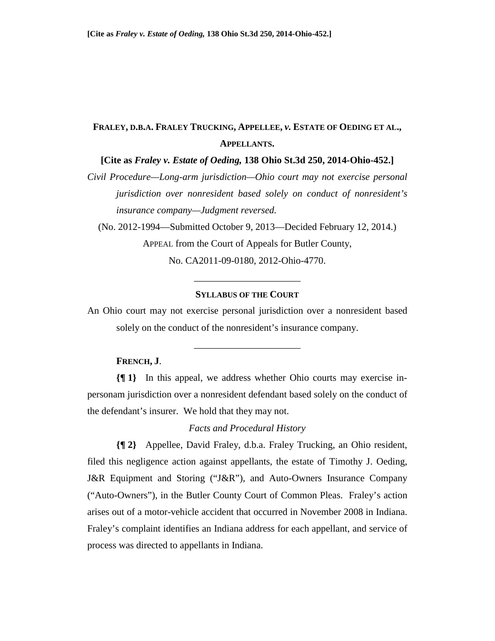# **FRALEY, D.B.A. FRALEY TRUCKING, APPELLEE,** *v.* **ESTATE OF OEDING ET AL., APPELLANTS.**

**[Cite as** *Fraley v. Estate of Oeding,* **138 Ohio St.3d 250, 2014-Ohio-452.]** 

*Civil Procedure—Long-arm jurisdiction—Ohio court may not exercise personal jurisdiction over nonresident based solely on conduct of nonresident's insurance company—Judgment reversed.* 

(No. 2012-1994—Submitted October 9, 2013—Decided February 12, 2014.) APPEAL from the Court of Appeals for Butler County,

No. CA2011-09-0180, 2012-Ohio-4770. \_\_\_\_\_\_\_\_\_\_\_\_\_\_\_\_\_\_\_\_\_\_

## **SYLLABUS OF THE COURT**

An Ohio court may not exercise personal jurisdiction over a nonresident based solely on the conduct of the nonresident's insurance company.

\_\_\_\_\_\_\_\_\_\_\_\_\_\_\_\_\_\_\_\_\_\_

## **FRENCH, J**.

**{¶ 1}** In this appeal, we address whether Ohio courts may exercise inpersonam jurisdiction over a nonresident defendant based solely on the conduct of the defendant's insurer. We hold that they may not.

## *Facts and Procedural History*

**{¶ 2}** Appellee, David Fraley, d.b.a. Fraley Trucking, an Ohio resident, filed this negligence action against appellants, the estate of Timothy J. Oeding, J&R Equipment and Storing ("J&R"), and Auto-Owners Insurance Company ("Auto-Owners"), in the Butler County Court of Common Pleas. Fraley's action arises out of a motor-vehicle accident that occurred in November 2008 in Indiana. Fraley's complaint identifies an Indiana address for each appellant, and service of process was directed to appellants in Indiana.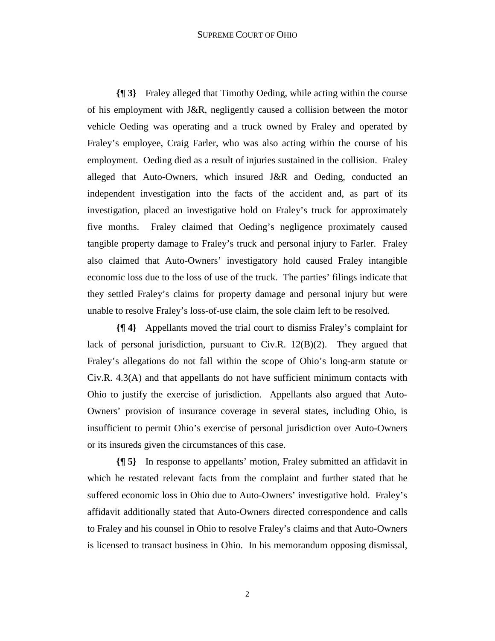#### SUPREME COURT OF OHIO

**{¶ 3}** Fraley alleged that Timothy Oeding, while acting within the course of his employment with J&R, negligently caused a collision between the motor vehicle Oeding was operating and a truck owned by Fraley and operated by Fraley's employee, Craig Farler, who was also acting within the course of his employment. Oeding died as a result of injuries sustained in the collision. Fraley alleged that Auto-Owners, which insured J&R and Oeding, conducted an independent investigation into the facts of the accident and, as part of its investigation, placed an investigative hold on Fraley's truck for approximately five months. Fraley claimed that Oeding's negligence proximately caused tangible property damage to Fraley's truck and personal injury to Farler. Fraley also claimed that Auto-Owners' investigatory hold caused Fraley intangible economic loss due to the loss of use of the truck. The parties' filings indicate that they settled Fraley's claims for property damage and personal injury but were unable to resolve Fraley's loss-of-use claim, the sole claim left to be resolved.

**{¶ 4}** Appellants moved the trial court to dismiss Fraley's complaint for lack of personal jurisdiction, pursuant to Civ.R. 12(B)(2). They argued that Fraley's allegations do not fall within the scope of Ohio's long-arm statute or Civ.R. 4.3(A) and that appellants do not have sufficient minimum contacts with Ohio to justify the exercise of jurisdiction. Appellants also argued that Auto-Owners' provision of insurance coverage in several states, including Ohio, is insufficient to permit Ohio's exercise of personal jurisdiction over Auto-Owners or its insureds given the circumstances of this case.

**{¶ 5}** In response to appellants' motion, Fraley submitted an affidavit in which he restated relevant facts from the complaint and further stated that he suffered economic loss in Ohio due to Auto-Owners' investigative hold. Fraley's affidavit additionally stated that Auto-Owners directed correspondence and calls to Fraley and his counsel in Ohio to resolve Fraley's claims and that Auto-Owners is licensed to transact business in Ohio. In his memorandum opposing dismissal,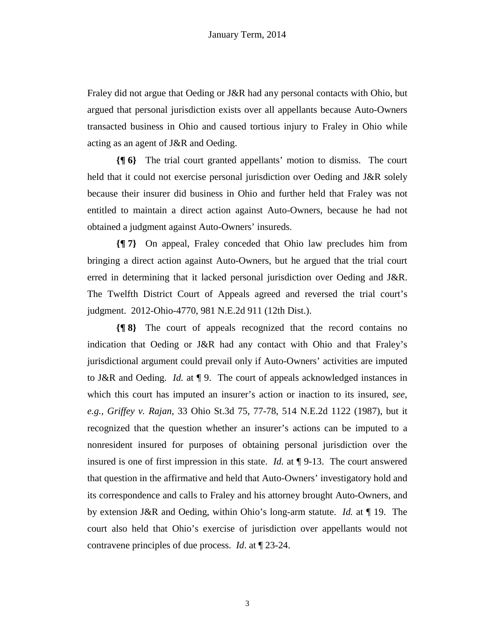Fraley did not argue that Oeding or J&R had any personal contacts with Ohio, but argued that personal jurisdiction exists over all appellants because Auto-Owners transacted business in Ohio and caused tortious injury to Fraley in Ohio while acting as an agent of J&R and Oeding.

**{¶ 6}** The trial court granted appellants' motion to dismiss. The court held that it could not exercise personal jurisdiction over Oeding and J&R solely because their insurer did business in Ohio and further held that Fraley was not entitled to maintain a direct action against Auto-Owners, because he had not obtained a judgment against Auto-Owners' insureds.

**{¶ 7}** On appeal, Fraley conceded that Ohio law precludes him from bringing a direct action against Auto-Owners, but he argued that the trial court erred in determining that it lacked personal jurisdiction over Oeding and J&R. The Twelfth District Court of Appeals agreed and reversed the trial court's judgment. 2012-Ohio-4770, 981 N.E.2d 911 (12th Dist.).

**{¶ 8}** The court of appeals recognized that the record contains no indication that Oeding or J&R had any contact with Ohio and that Fraley's jurisdictional argument could prevail only if Auto-Owners' activities are imputed to J&R and Oeding. *Id.* at ¶ 9. The court of appeals acknowledged instances in which this court has imputed an insurer's action or inaction to its insured, *see, e.g., Griffey v. Rajan,* 33 Ohio St.3d 75, 77-78, 514 N.E.2d 1122 (1987), but it recognized that the question whether an insurer's actions can be imputed to a nonresident insured for purposes of obtaining personal jurisdiction over the insured is one of first impression in this state. *Id.* at ¶ 9-13. The court answered that question in the affirmative and held that Auto-Owners' investigatory hold and its correspondence and calls to Fraley and his attorney brought Auto-Owners, and by extension J&R and Oeding, within Ohio's long-arm statute. *Id.* at ¶ 19. The court also held that Ohio's exercise of jurisdiction over appellants would not contravene principles of due process. *Id*. at ¶ 23-24.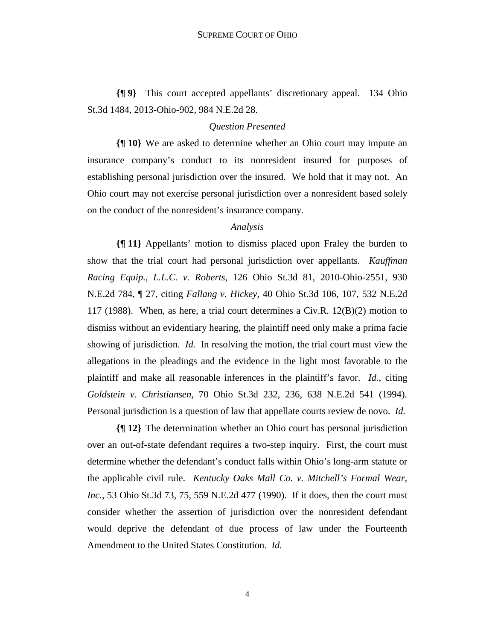**{¶ 9}** This court accepted appellants' discretionary appeal. 134 Ohio St.3d 1484, 2013-Ohio-902, 984 N.E.2d 28.

## *Question Presented*

**{¶ 10}** We are asked to determine whether an Ohio court may impute an insurance company's conduct to its nonresident insured for purposes of establishing personal jurisdiction over the insured. We hold that it may not. An Ohio court may not exercise personal jurisdiction over a nonresident based solely on the conduct of the nonresident's insurance company.

### *Analysis*

**{¶ 11}** Appellants' motion to dismiss placed upon Fraley the burden to show that the trial court had personal jurisdiction over appellants. *Kauffman Racing Equip., L.L.C. v. Roberts*, 126 Ohio St.3d 81, 2010-Ohio-2551, 930 N.E.2d 784, ¶ 27, citing *Fallang v. Hickey*, 40 Ohio St.3d 106, 107, 532 N.E.2d 117 (1988). When, as here, a trial court determines a Civ.R. 12(B)(2) motion to dismiss without an evidentiary hearing, the plaintiff need only make a prima facie showing of jurisdiction. *Id.* In resolving the motion, the trial court must view the allegations in the pleadings and the evidence in the light most favorable to the plaintiff and make all reasonable inferences in the plaintiff's favor. *Id.*, citing *Goldstein v. Christiansen*, 70 Ohio St.3d 232, 236, 638 N.E.2d 541 (1994). Personal jurisdiction is a question of law that appellate courts review de novo. *Id.* 

**{¶ 12}** The determination whether an Ohio court has personal jurisdiction over an out-of-state defendant requires a two-step inquiry. First, the court must determine whether the defendant's conduct falls within Ohio's long-arm statute or the applicable civil rule. *Kentucky Oaks Mall Co. v. Mitchell's Formal Wear, Inc.*, 53 Ohio St.3d 73, 75, 559 N.E.2d 477 (1990). If it does, then the court must consider whether the assertion of jurisdiction over the nonresident defendant would deprive the defendant of due process of law under the Fourteenth Amendment to the United States Constitution. *Id.*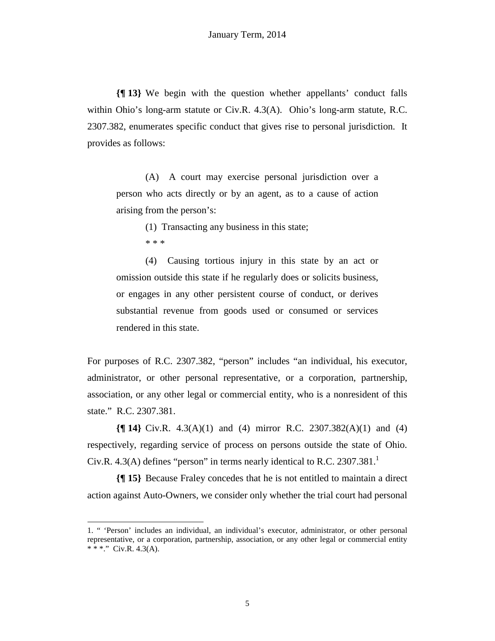**{¶ 13}** We begin with the question whether appellants' conduct falls within Ohio's long-arm statute or Civ.R. 4.3(A). Ohio's long-arm statute, R.C. 2307.382, enumerates specific conduct that gives rise to personal jurisdiction. It provides as follows:

(A) A court may exercise personal jurisdiction over a person who acts directly or by an agent, as to a cause of action arising from the person's:

(1) Transacting any business in this state;

1

(4) Causing tortious injury in this state by an act or omission outside this state if he regularly does or solicits business, or engages in any other persistent course of conduct, or derives substantial revenue from goods used or consumed or services rendered in this state.

For purposes of R.C. 2307.382, "person" includes "an individual, his executor, administrator, or other personal representative, or a corporation, partnership, association, or any other legal or commercial entity, who is a nonresident of this state." R.C. 2307.381.

**{¶ 14}** Civ.R. 4.3(A)(1) and (4) mirror R.C. 2307.382(A)(1) and (4) respectively, regarding service of process on persons outside the state of Ohio. Civ.R. 4.3(A) defines "person" in terms nearly identical to R.C. 2307.381.<sup>1</sup>

**{¶ 15}** Because Fraley concedes that he is not entitled to maintain a direct action against Auto-Owners, we consider only whether the trial court had personal

<sup>\* \* \*</sup> 

<sup>1. &</sup>quot; 'Person' includes an individual, an individual's executor, administrator, or other personal representative, or a corporation, partnership, association, or any other legal or commercial entity  $**$  \* Civ.R. 4.3(A).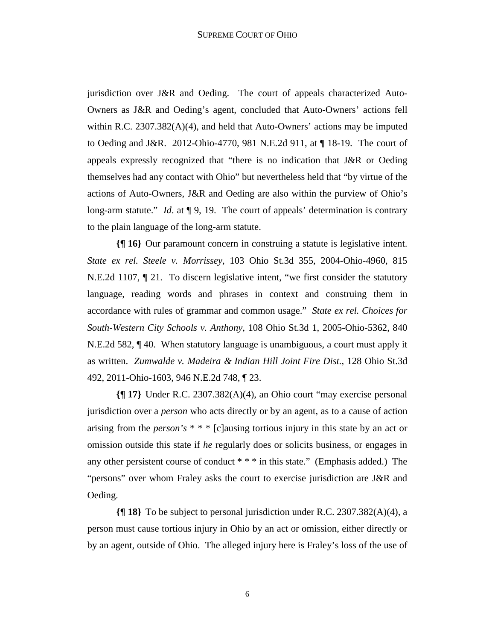jurisdiction over J&R and Oeding. The court of appeals characterized Auto-Owners as J&R and Oeding's agent, concluded that Auto-Owners' actions fell within R.C.  $2307.382(A)(4)$ , and held that Auto-Owners' actions may be imputed to Oeding and J&R. 2012-Ohio-4770, 981 N.E.2d 911, at ¶ 18-19. The court of appeals expressly recognized that "there is no indication that J&R or Oeding themselves had any contact with Ohio" but nevertheless held that "by virtue of the actions of Auto-Owners, J&R and Oeding are also within the purview of Ohio's long-arm statute." *Id.* at  $\P$  9, 19. The court of appeals' determination is contrary to the plain language of the long-arm statute.

**{¶ 16}** Our paramount concern in construing a statute is legislative intent. *State ex rel. Steele v. Morrissey*, 103 Ohio St.3d 355, 2004-Ohio-4960, 815 N.E.2d 1107, ¶ 21. To discern legislative intent, "we first consider the statutory language, reading words and phrases in context and construing them in accordance with rules of grammar and common usage." *State ex rel. Choices for South-Western City Schools v. Anthony*, 108 Ohio St.3d 1, 2005-Ohio-5362, 840 N.E.2d 582, ¶ 40. When statutory language is unambiguous, a court must apply it as written. *Zumwalde v. Madeira & Indian Hill Joint Fire Dist.*, 128 Ohio St.3d 492, 2011-Ohio-1603, 946 N.E.2d 748, ¶ 23.

**{¶ 17}** Under R.C. 2307.382(A)(4), an Ohio court "may exercise personal jurisdiction over a *person* who acts directly or by an agent, as to a cause of action arising from the *person's* \* \* \* [c]ausing tortious injury in this state by an act or omission outside this state if *he* regularly does or solicits business, or engages in any other persistent course of conduct \* \* \* in this state." (Emphasis added.) The "persons" over whom Fraley asks the court to exercise jurisdiction are J&R and Oeding.

**{¶ 18}** To be subject to personal jurisdiction under R.C. 2307.382(A)(4), a person must cause tortious injury in Ohio by an act or omission, either directly or by an agent, outside of Ohio. The alleged injury here is Fraley's loss of the use of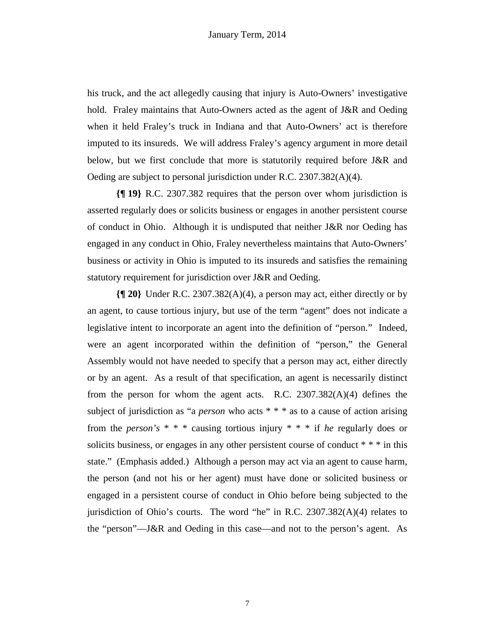his truck, and the act allegedly causing that injury is Auto-Owners' investigative hold. Fraley maintains that Auto-Owners acted as the agent of J&R and Oeding when it held Fraley's truck in Indiana and that Auto-Owners' act is therefore imputed to its insureds. We will address Fraley's agency argument in more detail below, but we first conclude that more is statutorily required before J&R and Oeding are subject to personal jurisdiction under R.C. 2307.382(A)(4).

**{¶ 19}** R.C. 2307.382 requires that the person over whom jurisdiction is asserted regularly does or solicits business or engages in another persistent course of conduct in Ohio. Although it is undisputed that neither J&R nor Oeding has engaged in any conduct in Ohio, Fraley nevertheless maintains that Auto-Owners' business or activity in Ohio is imputed to its insureds and satisfies the remaining statutory requirement for jurisdiction over J&R and Oeding.

**{¶ 20}** Under R.C. 2307.382(A)(4), a person may act, either directly or by an agent, to cause tortious injury, but use of the term "agent" does not indicate a legislative intent to incorporate an agent into the definition of "person." Indeed, were an agent incorporated within the definition of "person," the General Assembly would not have needed to specify that a person may act, either directly or by an agent. As a result of that specification, an agent is necessarily distinct from the person for whom the agent acts. R.C.  $2307.382(A)(4)$  defines the subject of jurisdiction as "a *person* who acts \* \* \* as to a cause of action arising from the *person's* \* \* \* causing tortious injury \* \* \* if *he* regularly does or solicits business, or engages in any other persistent course of conduct \* \* \* in this state." (Emphasis added.) Although a person may act via an agent to cause harm, the person (and not his or her agent) must have done or solicited business or engaged in a persistent course of conduct in Ohio before being subjected to the jurisdiction of Ohio's courts. The word "he" in R.C.  $2307.382(A)(4)$  relates to the "person"—J&R and Oeding in this case—and not to the person's agent. As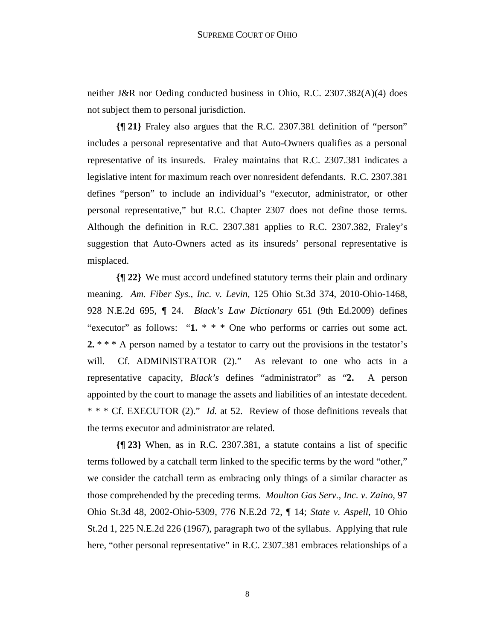neither J&R nor Oeding conducted business in Ohio, R.C. 2307.382(A)(4) does not subject them to personal jurisdiction.

**{¶ 21}** Fraley also argues that the R.C. 2307.381 definition of "person" includes a personal representative and that Auto-Owners qualifies as a personal representative of its insureds. Fraley maintains that R.C. 2307.381 indicates a legislative intent for maximum reach over nonresident defendants. R.C. 2307.381 defines "person" to include an individual's "executor, administrator, or other personal representative," but R.C. Chapter 2307 does not define those terms. Although the definition in R.C. 2307.381 applies to R.C. 2307.382, Fraley's suggestion that Auto-Owners acted as its insureds' personal representative is misplaced.

**{¶ 22}** We must accord undefined statutory terms their plain and ordinary meaning. *Am. Fiber Sys., Inc. v. Levin*, 125 Ohio St.3d 374, 2010-Ohio-1468, 928 N.E.2d 695, ¶ 24. *Black's Law Dictionary* 651 (9th Ed.2009) defines "executor" as follows: "1. \* \* \* One who performs or carries out some act. 2. \* \* \* A person named by a testator to carry out the provisions in the testator's will. Cf. ADMINISTRATOR (2)." As relevant to one who acts in a representative capacity, *Black's* defines "administrator" as "**2.** A person appointed by the court to manage the assets and liabilities of an intestate decedent. \* \* \* Cf. EXECUTOR (2)." *Id.* at 52. Review of those definitions reveals that the terms executor and administrator are related.

**{¶ 23}** When, as in R.C. 2307.381, a statute contains a list of specific terms followed by a catchall term linked to the specific terms by the word "other," we consider the catchall term as embracing only things of a similar character as those comprehended by the preceding terms. *Moulton Gas Serv., Inc. v. Zaino*, 97 Ohio St.3d 48, 2002-Ohio-5309, 776 N.E.2d 72, ¶ 14; *State v. Aspell*, 10 Ohio St.2d 1, 225 N.E.2d 226 (1967), paragraph two of the syllabus. Applying that rule here, "other personal representative" in R.C. 2307.381 embraces relationships of a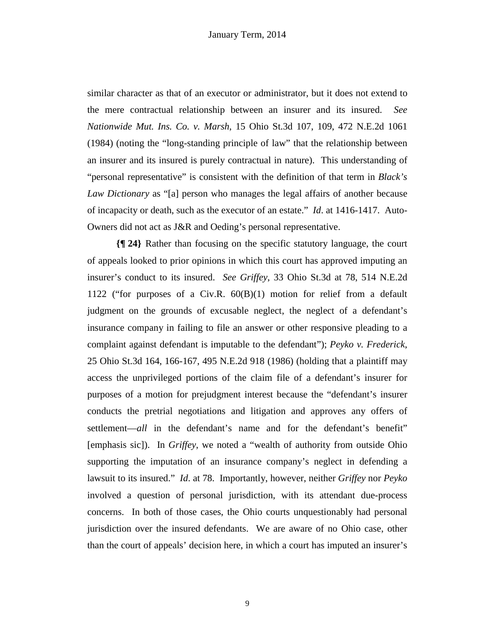similar character as that of an executor or administrator, but it does not extend to the mere contractual relationship between an insurer and its insured. *See Nationwide Mut. Ins. Co. v. Marsh*, 15 Ohio St.3d 107, 109, 472 N.E.2d 1061 (1984) (noting the "long-standing principle of law" that the relationship between an insurer and its insured is purely contractual in nature). This understanding of "personal representative" is consistent with the definition of that term in *Black's Law Dictionary* as "[a] person who manages the legal affairs of another because of incapacity or death, such as the executor of an estate." *Id*. at 1416-1417. Auto-Owners did not act as J&R and Oeding's personal representative.

**{¶ 24}** Rather than focusing on the specific statutory language, the court of appeals looked to prior opinions in which this court has approved imputing an insurer's conduct to its insured. *See Griffey*, 33 Ohio St.3d at 78, 514 N.E.2d 1122 ("for purposes of a Civ.R. 60(B)(1) motion for relief from a default judgment on the grounds of excusable neglect, the neglect of a defendant's insurance company in failing to file an answer or other responsive pleading to a complaint against defendant is imputable to the defendant"); *Peyko v. Frederick*, 25 Ohio St.3d 164, 166-167, 495 N.E.2d 918 (1986) (holding that a plaintiff may access the unprivileged portions of the claim file of a defendant's insurer for purposes of a motion for prejudgment interest because the "defendant's insurer conducts the pretrial negotiations and litigation and approves any offers of settlement—*all* in the defendant's name and for the defendant's benefit" [emphasis sic]). In *Griffey*, we noted a "wealth of authority from outside Ohio supporting the imputation of an insurance company's neglect in defending a lawsuit to its insured." *Id*. at 78. Importantly, however, neither *Griffey* nor *Peyko* involved a question of personal jurisdiction, with its attendant due-process concerns. In both of those cases, the Ohio courts unquestionably had personal jurisdiction over the insured defendants. We are aware of no Ohio case, other than the court of appeals' decision here, in which a court has imputed an insurer's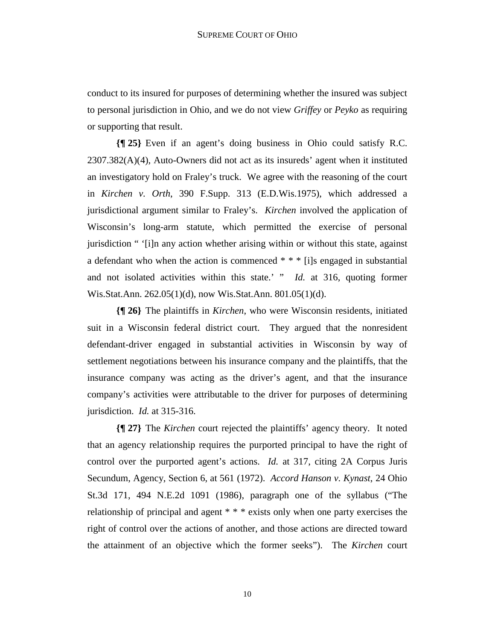conduct to its insured for purposes of determining whether the insured was subject to personal jurisdiction in Ohio, and we do not view *Griffey* or *Peyko* as requiring or supporting that result.

**{¶ 25}** Even if an agent's doing business in Ohio could satisfy R.C. 2307.382(A)(4), Auto-Owners did not act as its insureds' agent when it instituted an investigatory hold on Fraley's truck. We agree with the reasoning of the court in *Kirchen v. Orth*, 390 F.Supp. 313 (E.D.Wis.1975), which addressed a jurisdictional argument similar to Fraley's. *Kirchen* involved the application of Wisconsin's long-arm statute, which permitted the exercise of personal jurisdiction " '[i]n any action whether arising within or without this state, against a defendant who when the action is commenced \* \* \* [i]s engaged in substantial and not isolated activities within this state.' " *Id.* at 316, quoting former Wis.Stat.Ann. 262.05(1)(d), now Wis.Stat.Ann. 801.05(1)(d).

**{¶ 26}** The plaintiffs in *Kirchen*, who were Wisconsin residents, initiated suit in a Wisconsin federal district court. They argued that the nonresident defendant-driver engaged in substantial activities in Wisconsin by way of settlement negotiations between his insurance company and the plaintiffs, that the insurance company was acting as the driver's agent, and that the insurance company's activities were attributable to the driver for purposes of determining jurisdiction. *Id.* at 315-316.

**{¶ 27}** The *Kirchen* court rejected the plaintiffs' agency theory. It noted that an agency relationship requires the purported principal to have the right of control over the purported agent's actions. *Id.* at 317, citing 2A Corpus Juris Secundum, Agency, Section 6, at 561 (1972). *Accord Hanson v. Kynast*, 24 Ohio St.3d 171, 494 N.E.2d 1091 (1986), paragraph one of the syllabus ("The relationship of principal and agent \* \* \* exists only when one party exercises the right of control over the actions of another, and those actions are directed toward the attainment of an objective which the former seeks"). The *Kirchen* court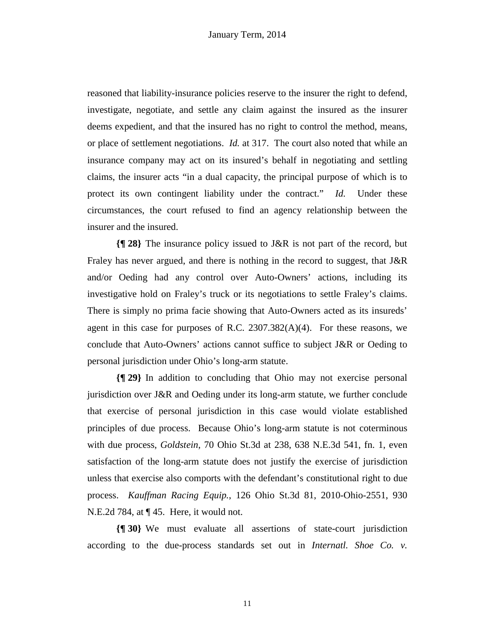reasoned that liability-insurance policies reserve to the insurer the right to defend, investigate, negotiate, and settle any claim against the insured as the insurer deems expedient, and that the insured has no right to control the method, means, or place of settlement negotiations. *Id.* at 317. The court also noted that while an insurance company may act on its insured's behalf in negotiating and settling claims, the insurer acts "in a dual capacity, the principal purpose of which is to protect its own contingent liability under the contract." *Id.* Under these circumstances, the court refused to find an agency relationship between the insurer and the insured.

**{¶ 28}** The insurance policy issued to J&R is not part of the record, but Fraley has never argued, and there is nothing in the record to suggest, that J&R and/or Oeding had any control over Auto-Owners' actions, including its investigative hold on Fraley's truck or its negotiations to settle Fraley's claims. There is simply no prima facie showing that Auto-Owners acted as its insureds' agent in this case for purposes of R.C.  $2307.382(A)(4)$ . For these reasons, we conclude that Auto-Owners' actions cannot suffice to subject J&R or Oeding to personal jurisdiction under Ohio's long-arm statute.

**{¶ 29}** In addition to concluding that Ohio may not exercise personal jurisdiction over J&R and Oeding under its long-arm statute, we further conclude that exercise of personal jurisdiction in this case would violate established principles of due process. Because Ohio's long-arm statute is not coterminous with due process, *Goldstein*, 70 Ohio St.3d at 238, 638 N.E.3d 541, fn. 1, even satisfaction of the long-arm statute does not justify the exercise of jurisdiction unless that exercise also comports with the defendant's constitutional right to due process. *Kauffman Racing Equip.*, 126 Ohio St.3d 81, 2010-Ohio-2551, 930 N.E.2d 784, at ¶ 45. Here, it would not.

**{¶ 30}** We must evaluate all assertions of state-court jurisdiction according to the due-process standards set out in *Internatl. Shoe Co. v.* 

11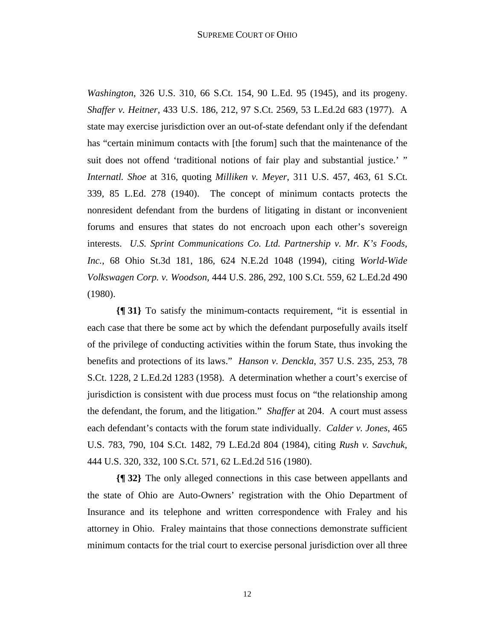*Washington*, 326 U.S. 310, 66 S.Ct. 154, 90 L.Ed. 95 (1945), and its progeny. *Shaffer v. Heitner*, 433 U.S. 186, 212, 97 S.Ct. 2569, 53 L.Ed.2d 683 (1977). A state may exercise jurisdiction over an out-of-state defendant only if the defendant has "certain minimum contacts with [the forum] such that the maintenance of the suit does not offend 'traditional notions of fair play and substantial justice.' " *Internatl. Shoe* at 316, quoting *Milliken v. Meyer*, 311 U.S. 457, 463, 61 S.Ct. 339, 85 L.Ed. 278 (1940). The concept of minimum contacts protects the nonresident defendant from the burdens of litigating in distant or inconvenient forums and ensures that states do not encroach upon each other's sovereign interests. *U.S. Sprint Communications Co. Ltd. Partnership v. Mr. K's Foods, Inc.*, 68 Ohio St.3d 181, 186, 624 N.E.2d 1048 (1994), citing *World-Wide Volkswagen Corp. v. Woodson*, 444 U.S. 286, 292, 100 S.Ct. 559, 62 L.Ed.2d 490 (1980).

**{¶ 31}** To satisfy the minimum-contacts requirement, "it is essential in each case that there be some act by which the defendant purposefully avails itself of the privilege of conducting activities within the forum State, thus invoking the benefits and protections of its laws." *Hanson v. Denckla*, 357 U.S. 235, 253, 78 S.Ct. 1228, 2 L.Ed.2d 1283 (1958). A determination whether a court's exercise of jurisdiction is consistent with due process must focus on "the relationship among the defendant, the forum, and the litigation." *Shaffer* at 204. A court must assess each defendant's contacts with the forum state individually. *Calder v. Jones*, 465 U.S. 783, 790, 104 S.Ct. 1482, 79 L.Ed.2d 804 (1984), citing *Rush v. Savchuk*, 444 U.S. 320, 332, 100 S.Ct. 571, 62 L.Ed.2d 516 (1980).

**{¶ 32}** The only alleged connections in this case between appellants and the state of Ohio are Auto-Owners' registration with the Ohio Department of Insurance and its telephone and written correspondence with Fraley and his attorney in Ohio. Fraley maintains that those connections demonstrate sufficient minimum contacts for the trial court to exercise personal jurisdiction over all three

12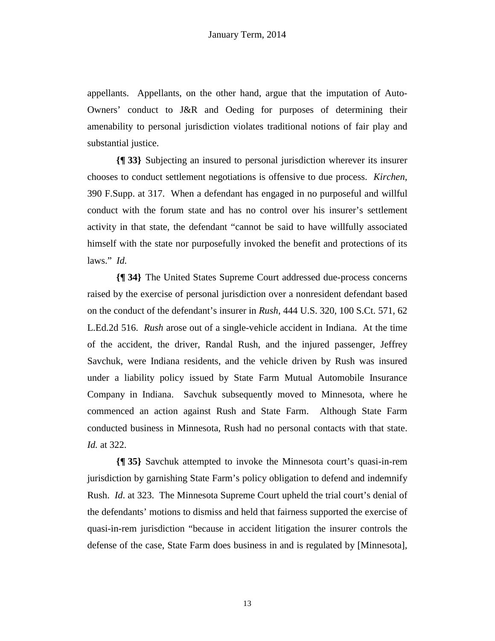appellants. Appellants, on the other hand, argue that the imputation of Auto-Owners' conduct to J&R and Oeding for purposes of determining their amenability to personal jurisdiction violates traditional notions of fair play and substantial justice.

**{¶ 33}** Subjecting an insured to personal jurisdiction wherever its insurer chooses to conduct settlement negotiations is offensive to due process. *Kirchen*, 390 F.Supp. at 317. When a defendant has engaged in no purposeful and willful conduct with the forum state and has no control over his insurer's settlement activity in that state, the defendant "cannot be said to have willfully associated himself with the state nor purposefully invoked the benefit and protections of its laws." *Id.* 

**{¶ 34}** The United States Supreme Court addressed due-process concerns raised by the exercise of personal jurisdiction over a nonresident defendant based on the conduct of the defendant's insurer in *Rush*, 444 U.S. 320, 100 S.Ct. 571, 62 L.Ed.2d 516. *Rush* arose out of a single-vehicle accident in Indiana. At the time of the accident, the driver, Randal Rush, and the injured passenger, Jeffrey Savchuk, were Indiana residents, and the vehicle driven by Rush was insured under a liability policy issued by State Farm Mutual Automobile Insurance Company in Indiana. Savchuk subsequently moved to Minnesota, where he commenced an action against Rush and State Farm. Although State Farm conducted business in Minnesota, Rush had no personal contacts with that state. *Id.* at 322.

**{¶ 35}** Savchuk attempted to invoke the Minnesota court's quasi-in-rem jurisdiction by garnishing State Farm's policy obligation to defend and indemnify Rush. *Id*. at 323. The Minnesota Supreme Court upheld the trial court's denial of the defendants' motions to dismiss and held that fairness supported the exercise of quasi-in-rem jurisdiction "because in accident litigation the insurer controls the defense of the case, State Farm does business in and is regulated by [Minnesota],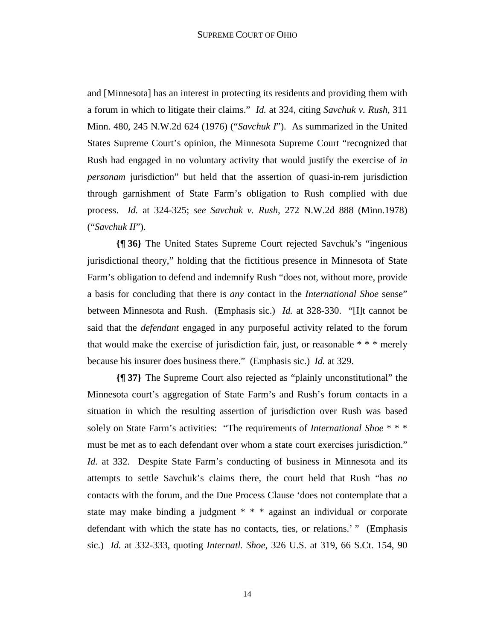and [Minnesota] has an interest in protecting its residents and providing them with a forum in which to litigate their claims." *Id.* at 324, citing *Savchuk v. Rush*, 311 Minn. 480, 245 N.W.2d 624 (1976) ("*Savchuk I*"). As summarized in the United States Supreme Court's opinion, the Minnesota Supreme Court "recognized that Rush had engaged in no voluntary activity that would justify the exercise of *in personam* jurisdiction" but held that the assertion of quasi-in-rem jurisdiction through garnishment of State Farm's obligation to Rush complied with due process. *Id.* at 324-325; *see Savchuk v. Rush*, 272 N.W.2d 888 (Minn.1978) ("*Savchuk II*").

**{¶ 36}** The United States Supreme Court rejected Savchuk's "ingenious jurisdictional theory," holding that the fictitious presence in Minnesota of State Farm's obligation to defend and indemnify Rush "does not, without more, provide a basis for concluding that there is *any* contact in the *International Shoe* sense" between Minnesota and Rush. (Emphasis sic.) *Id.* at 328-330. "[I]t cannot be said that the *defendant* engaged in any purposeful activity related to the forum that would make the exercise of jurisdiction fair, just, or reasonable \* \* \* merely because his insurer does business there." (Emphasis sic.) *Id.* at 329.

**{¶ 37}** The Supreme Court also rejected as "plainly unconstitutional" the Minnesota court's aggregation of State Farm's and Rush's forum contacts in a situation in which the resulting assertion of jurisdiction over Rush was based solely on State Farm's activities: "The requirements of *International Shoe* \* \* \* must be met as to each defendant over whom a state court exercises jurisdiction." *Id.* at 332. Despite State Farm's conducting of business in Minnesota and its attempts to settle Savchuk's claims there, the court held that Rush "has *no* contacts with the forum, and the Due Process Clause 'does not contemplate that a state may make binding a judgment \* \* \* against an individual or corporate defendant with which the state has no contacts, ties, or relations.' " (Emphasis sic.) *Id.* at 332-333, quoting *Internatl. Shoe*, 326 U.S. at 319, 66 S.Ct. 154, 90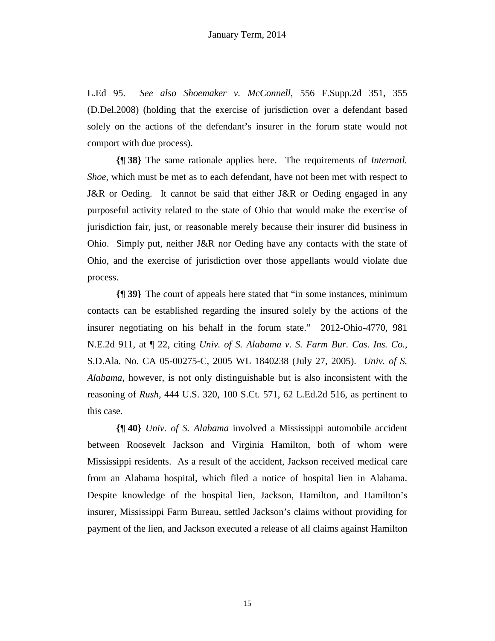L.Ed 95. *See also Shoemaker v. McConnell*, 556 F.Supp.2d 351, 355 (D.Del.2008) (holding that the exercise of jurisdiction over a defendant based solely on the actions of the defendant's insurer in the forum state would not comport with due process).

**{¶ 38}** The same rationale applies here. The requirements of *Internatl. Shoe*, which must be met as to each defendant, have not been met with respect to J&R or Oeding. It cannot be said that either J&R or Oeding engaged in any purposeful activity related to the state of Ohio that would make the exercise of jurisdiction fair, just, or reasonable merely because their insurer did business in Ohio. Simply put, neither J&R nor Oeding have any contacts with the state of Ohio, and the exercise of jurisdiction over those appellants would violate due process.

**{¶ 39}** The court of appeals here stated that "in some instances, minimum contacts can be established regarding the insured solely by the actions of the insurer negotiating on his behalf in the forum state." 2012-Ohio-4770, 981 N.E.2d 911, at ¶ 22, citing *Univ. of S. Alabama v. S. Farm Bur. Cas. Ins. Co.*, S.D.Ala. No. CA 05-00275-C, 2005 WL 1840238 (July 27, 2005). *Univ. of S. Alabama*, however, is not only distinguishable but is also inconsistent with the reasoning of *Rush,* 444 U.S. 320, 100 S.Ct. 571, 62 L.Ed.2d 516, as pertinent to this case.

**{¶ 40}** *Univ. of S. Alabama* involved a Mississippi automobile accident between Roosevelt Jackson and Virginia Hamilton, both of whom were Mississippi residents. As a result of the accident, Jackson received medical care from an Alabama hospital, which filed a notice of hospital lien in Alabama. Despite knowledge of the hospital lien, Jackson, Hamilton, and Hamilton's insurer, Mississippi Farm Bureau, settled Jackson's claims without providing for payment of the lien, and Jackson executed a release of all claims against Hamilton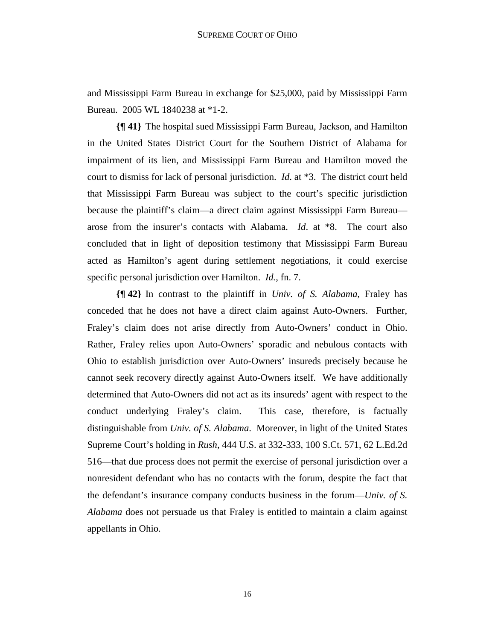and Mississippi Farm Bureau in exchange for \$25,000, paid by Mississippi Farm Bureau. 2005 WL 1840238 at \*1-2.

**{¶ 41}** The hospital sued Mississippi Farm Bureau, Jackson, and Hamilton in the United States District Court for the Southern District of Alabama for impairment of its lien, and Mississippi Farm Bureau and Hamilton moved the court to dismiss for lack of personal jurisdiction. *Id*. at \*3. The district court held that Mississippi Farm Bureau was subject to the court's specific jurisdiction because the plaintiff's claim—a direct claim against Mississippi Farm Bureau arose from the insurer's contacts with Alabama. *Id*. at \*8. The court also concluded that in light of deposition testimony that Mississippi Farm Bureau acted as Hamilton's agent during settlement negotiations, it could exercise specific personal jurisdiction over Hamilton. *Id.*, fn. 7.

**{¶ 42}** In contrast to the plaintiff in *Univ. of S. Alabama*, Fraley has conceded that he does not have a direct claim against Auto-Owners. Further, Fraley's claim does not arise directly from Auto-Owners' conduct in Ohio. Rather, Fraley relies upon Auto-Owners' sporadic and nebulous contacts with Ohio to establish jurisdiction over Auto-Owners' insureds precisely because he cannot seek recovery directly against Auto-Owners itself. We have additionally determined that Auto-Owners did not act as its insureds' agent with respect to the conduct underlying Fraley's claim. This case, therefore, is factually distinguishable from *Univ. of S. Alabama*. Moreover, in light of the United States Supreme Court's holding in *Rush,* 444 U.S. at 332-333, 100 S.Ct. 571, 62 L.Ed.2d 516—that due process does not permit the exercise of personal jurisdiction over a nonresident defendant who has no contacts with the forum, despite the fact that the defendant's insurance company conducts business in the forum—*Univ. of S. Alabama* does not persuade us that Fraley is entitled to maintain a claim against appellants in Ohio.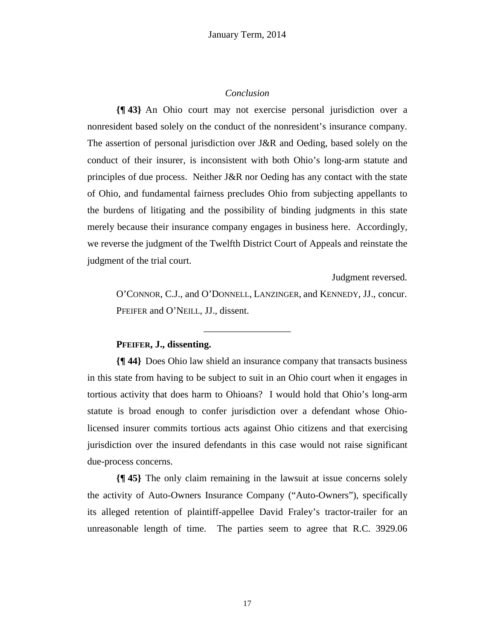## *Conclusion*

**{¶ 43}** An Ohio court may not exercise personal jurisdiction over a nonresident based solely on the conduct of the nonresident's insurance company. The assertion of personal jurisdiction over J&R and Oeding, based solely on the conduct of their insurer, is inconsistent with both Ohio's long-arm statute and principles of due process. Neither J&R nor Oeding has any contact with the state of Ohio, and fundamental fairness precludes Ohio from subjecting appellants to the burdens of litigating and the possibility of binding judgments in this state merely because their insurance company engages in business here. Accordingly, we reverse the judgment of the Twelfth District Court of Appeals and reinstate the judgment of the trial court.

Judgment reversed.

O'CONNOR, C.J., and O'DONNELL, LANZINGER, and KENNEDY, JJ., concur. PFEIFER and O'NEILL, JJ., dissent.

## **PFEIFER, J., dissenting.**

**{¶ 44}** Does Ohio law shield an insurance company that transacts business in this state from having to be subject to suit in an Ohio court when it engages in tortious activity that does harm to Ohioans? I would hold that Ohio's long-arm statute is broad enough to confer jurisdiction over a defendant whose Ohiolicensed insurer commits tortious acts against Ohio citizens and that exercising jurisdiction over the insured defendants in this case would not raise significant due-process concerns.

\_\_\_\_\_\_\_\_\_\_\_\_\_\_\_\_\_\_

**{¶ 45}** The only claim remaining in the lawsuit at issue concerns solely the activity of Auto-Owners Insurance Company ("Auto-Owners"), specifically its alleged retention of plaintiff-appellee David Fraley's tractor-trailer for an unreasonable length of time. The parties seem to agree that R.C. 3929.06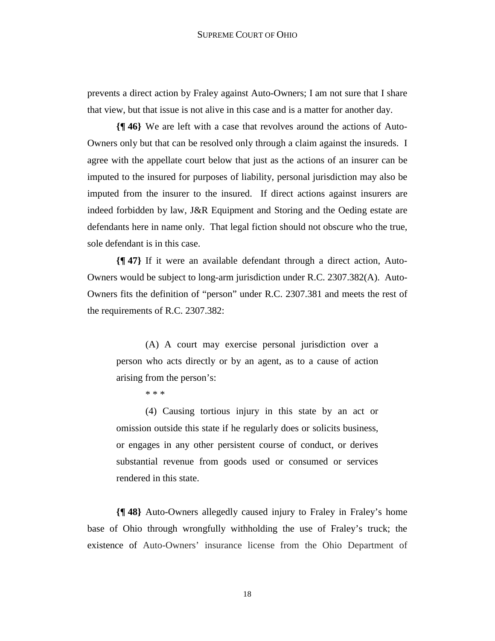prevents a direct action by Fraley against Auto-Owners; I am not sure that I share that view, but that issue is not alive in this case and is a matter for another day.

**{¶ 46}** We are left with a case that revolves around the actions of Auto-Owners only but that can be resolved only through a claim against the insureds. I agree with the appellate court below that just as the actions of an insurer can be imputed to the insured for purposes of liability, personal jurisdiction may also be imputed from the insurer to the insured. If direct actions against insurers are indeed forbidden by law, J&R Equipment and Storing and the Oeding estate are defendants here in name only. That legal fiction should not obscure who the true, sole defendant is in this case.

**{¶ 47}** If it were an available defendant through a direct action, Auto-Owners would be subject to long-arm jurisdiction under R.C. 2307.382(A). Auto-Owners fits the definition of "person" under R.C. 2307.381 and meets the rest of the requirements of R.C. 2307.382:

(A) A court may exercise personal jurisdiction over a person who acts directly or by an agent, as to a cause of action arising from the person's:

\* \* \*

(4) Causing tortious injury in this state by an act or omission outside this state if he regularly does or solicits business, or engages in any other persistent course of conduct, or derives substantial revenue from goods used or consumed or services rendered in this state.

**{¶ 48}** Auto-Owners allegedly caused injury to Fraley in Fraley's home base of Ohio through wrongfully withholding the use of Fraley's truck; the existence of Auto-Owners' insurance license from the Ohio Department of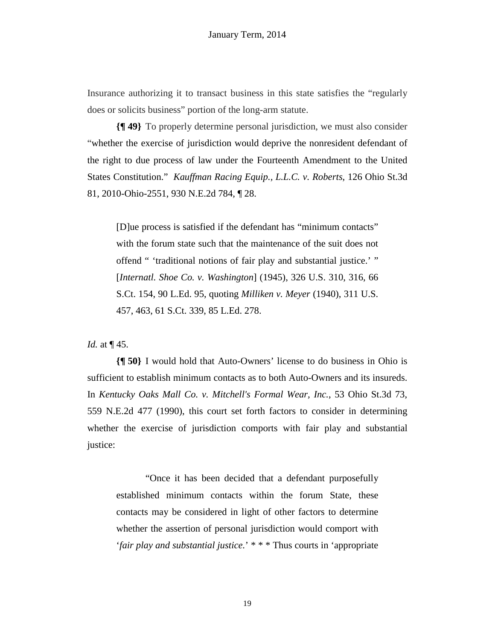Insurance authorizing it to transact business in this state satisfies the "regularly does or solicits business" portion of the long-arm statute.

**{¶ 49}** To properly determine personal jurisdiction, we must also consider "whether the exercise of jurisdiction would deprive the nonresident defendant of the right to due process of law under the Fourteenth Amendment to the United States Constitution." *Kauffman Racing Equip., L.L.C. v. Roberts*, 126 Ohio St.3d 81, 2010-Ohio-2551, 930 N.E.2d 784, ¶ 28.

[D]ue process is satisfied if the defendant has "minimum contacts" with the forum state such that the maintenance of the suit does not offend " 'traditional notions of fair play and substantial justice.' " [*Internatl. Shoe Co. v. Washington*] (1945), 326 U.S. 310, 316, 66 S.Ct. 154, 90 L.Ed. 95, quoting *Milliken v. Meyer* (1940), 311 U.S. 457, 463, 61 S.Ct. 339, 85 L.Ed. 278.

#### *Id.* at ¶ 45.

**{¶ 50}** I would hold that Auto-Owners' license to do business in Ohio is sufficient to establish minimum contacts as to both Auto-Owners and its insureds. In *Kentucky Oaks Mall Co. v. Mitchell's Formal Wear, Inc.*, 53 Ohio St.3d 73, 559 N.E.2d 477 (1990), this court set forth factors to consider in determining whether the exercise of jurisdiction comports with fair play and substantial justice:

"Once it has been decided that a defendant purposefully established minimum contacts within the forum State, these contacts may be considered in light of other factors to determine whether the assertion of personal jurisdiction would comport with '*fair play and substantial justice.*' \* \* \* Thus courts in 'appropriate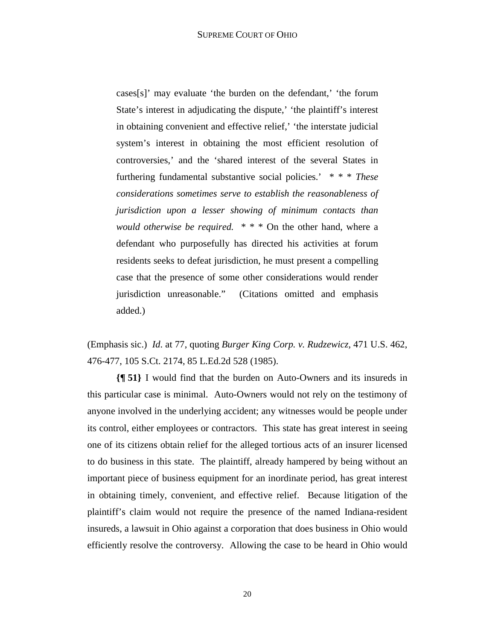cases[s]' may evaluate 'the burden on the defendant,' 'the forum State's interest in adjudicating the dispute,' 'the plaintiff's interest in obtaining convenient and effective relief,' 'the interstate judicial system's interest in obtaining the most efficient resolution of controversies,' and the 'shared interest of the several States in furthering fundamental substantive social policies.' \* \* \* *These considerations sometimes serve to establish the reasonableness of jurisdiction upon a lesser showing of minimum contacts than would otherwise be required.* \* \* \* On the other hand, where a defendant who purposefully has directed his activities at forum residents seeks to defeat jurisdiction, he must present a compelling case that the presence of some other considerations would render jurisdiction unreasonable." (Citations omitted and emphasis added.)

(Emphasis sic.) *Id*. at 77, quoting *Burger King Corp. v. Rudzewicz,* 471 U.S. 462, 476-477, 105 S.Ct. 2174, 85 L.Ed.2d 528 (1985).

**{¶ 51}** I would find that the burden on Auto-Owners and its insureds in this particular case is minimal. Auto-Owners would not rely on the testimony of anyone involved in the underlying accident; any witnesses would be people under its control, either employees or contractors. This state has great interest in seeing one of its citizens obtain relief for the alleged tortious acts of an insurer licensed to do business in this state. The plaintiff, already hampered by being without an important piece of business equipment for an inordinate period, has great interest in obtaining timely, convenient, and effective relief. Because litigation of the plaintiff's claim would not require the presence of the named Indiana-resident insureds, a lawsuit in Ohio against a corporation that does business in Ohio would efficiently resolve the controversy. Allowing the case to be heard in Ohio would